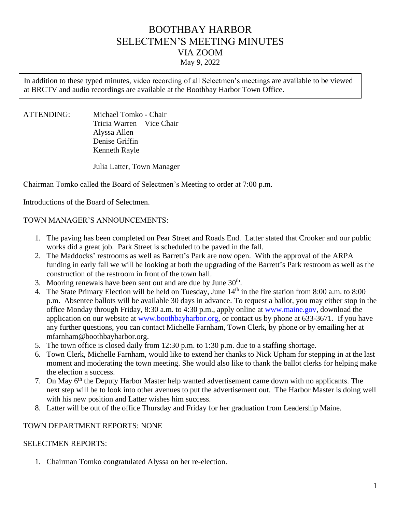# BOOTHBAY HARBOR SELECTMEN'S MEETING MINUTES VIA ZOOM May 9, 2022

In addition to these typed minutes, video recording of all Selectmen's meetings are available to be viewed at BRCTV and audio recordings are available at the Boothbay Harbor Town Office.

ATTENDING: Michael Tomko - Chair Tricia Warren – Vice Chair Alyssa Allen Denise Griffin Kenneth Rayle

Julia Latter, Town Manager

Chairman Tomko called the Board of Selectmen's Meeting to order at 7:00 p.m.

Introductions of the Board of Selectmen.

## TOWN MANAGER'S ANNOUNCEMENTS:

- 1. The paving has been completed on Pear Street and Roads End. Latter stated that Crooker and our public works did a great job. Park Street is scheduled to be paved in the fall.
- 2. The Maddocks' restrooms as well as Barrett's Park are now open. With the approval of the ARPA funding in early fall we will be looking at both the upgrading of the Barrett's Park restroom as well as the construction of the restroom in front of the town hall.
- 3. Mooring renewals have been sent out and are due by June  $30<sup>th</sup>$ .
- 4. The State Primary Election will be held on Tuesday, June 14<sup>th</sup> in the fire station from 8:00 a.m. to 8:00 p.m. Absentee ballots will be available 30 days in advance. To request a ballot, you may either stop in the office Monday through Friday, 8:30 a.m. to 4:30 p.m., apply online at [www.maine.gov,](http://www.maine.gov/) download the application on our website at [www.boothbayharbor.org,](http://www.boothbayharbor.org/) or contact us by phone at 633-3671. If you have any further questions, you can contact Michelle Farnham, Town Clerk, by phone or by emailing her at mfarnham@boothbayharbor.org.
- 5. The town office is closed daily from 12:30 p.m. to 1:30 p.m. due to a staffing shortage.
- 6. Town Clerk, Michelle Farnham, would like to extend her thanks to Nick Upham for stepping in at the last moment and moderating the town meeting. She would also like to thank the ballot clerks for helping make the election a success.
- 7. On May 6<sup>th</sup> the Deputy Harbor Master help wanted advertisement came down with no applicants. The next step will be to look into other avenues to put the advertisement out. The Harbor Master is doing well with his new position and Latter wishes him success.
- 8. Latter will be out of the office Thursday and Friday for her graduation from Leadership Maine.

### TOWN DEPARTMENT REPORTS: NONE

### SELECTMEN REPORTS:

1. Chairman Tomko congratulated Alyssa on her re-election.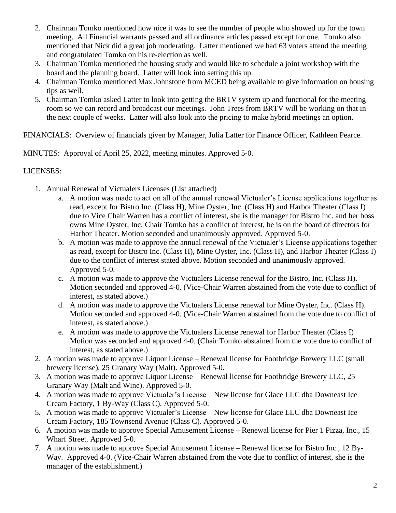- 2. Chairman Tomko mentioned how nice it was to see the number of people who showed up for the town meeting. All Financial warrants passed and all ordinance articles passed except for one. Tomko also mentioned that Nick did a great job moderating. Latter mentioned we had 63 voters attend the meeting and congratulated Tomko on his re-election as well.
- 3. Chairman Tomko mentioned the housing study and would like to schedule a joint workshop with the board and the planning board. Latter will look into setting this up.
- 4. Chairman Tomko mentioned Max Johnstone from MCED being available to give information on housing tips as well.
- 5. Chairman Tomko asked Latter to look into getting the BRTV system up and functional for the meeting room so we can record and broadcast our meetings. John Trees from BRTV will be working on that in the next couple of weeks. Latter will also look into the pricing to make hybrid meetings an option.

FINANCIALS: Overview of financials given by Manager, Julia Latter for Finance Officer, Kathleen Pearce.

MINUTES: Approval of April 25, 2022, meeting minutes. Approved 5-0.

## LICENSES:

- 1. Annual Renewal of Victualers Licenses (List attached)
	- a. A motion was made to act on all of the annual renewal Victualer's License applications together as read, except for Bistro Inc. (Class H), Mine Oyster, Inc. (Class H) and Harbor Theater (Class I) due to Vice Chair Warren has a conflict of interest, she is the manager for Bistro Inc. and her boss owns Mine Oyster, Inc. Chair Tomko has a conflict of interest, he is on the board of directors for Harbor Theater. Motion seconded and unanimously approved. Approved 5-0.
	- b. A motion was made to approve the annual renewal of the Victualer's License applications together as read, except for Bistro Inc. (Class H), Mine Oyster, Inc. (Class H), and Harbor Theater (Class I) due to the conflict of interest stated above. Motion seconded and unanimously approved. Approved 5-0.
	- c. A motion was made to approve the Victualers License renewal for the Bistro, Inc. (Class H). Motion seconded and approved 4-0. (Vice-Chair Warren abstained from the vote due to conflict of interest, as stated above.)
	- d. A motion was made to approve the Victualers License renewal for Mine Oyster, Inc. (Class H). Motion seconded and approved 4-0. (Vice-Chair Warren abstained from the vote due to conflict of interest, as stated above.)
	- e. A motion was made to approve the Victualers License renewal for Harbor Theater (Class I) Motion was seconded and approved 4-0. (Chair Tomko abstained from the vote due to conflict of interest, as stated above.)
- 2. A motion was made to approve Liquor License Renewal license for Footbridge Brewery LLC (small brewery license), 25 Granary Way (Malt). Approved 5-0.
- 3. A motion was made to approve Liquor License Renewal license for Footbridge Brewery LLC, 25 Granary Way (Malt and Wine). Approved 5-0.
- 4. A motion was made to approve Victualer's License New license for Glace LLC dba Downeast Ice Cream Factory, 1 By-Way (Class C). Approved 5-0.
- 5. A motion was made to approve Victualer's License New license for Glace LLC dba Downeast Ice Cream Factory, 185 Townsend Avenue (Class C). Approved 5-0.
- 6. A motion was made to approve Special Amusement License Renewal license for Pier 1 Pizza, Inc., 15 Wharf Street. Approved 5-0.
- 7. A motion was made to approve Special Amusement License Renewal license for Bistro Inc., 12 By-Way. Approved 4-0. (Vice-Chair Warren abstained from the vote due to conflict of interest, she is the manager of the establishment.)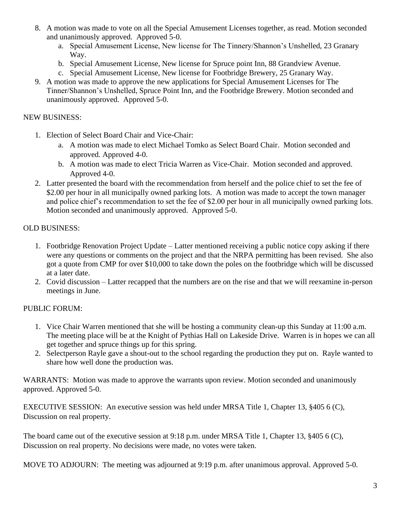- 8. A motion was made to vote on all the Special Amusement Licenses together, as read. Motion seconded and unanimously approved. Approved 5-0.
	- a. Special Amusement License, New license for The Tinnery/Shannon's Unshelled, 23 Granary Way.
	- b. Special Amusement License, New license for Spruce point Inn, 88 Grandview Avenue.
	- c. Special Amusement License, New license for Footbridge Brewery, 25 Granary Way.
- 9. A motion was made to approve the new applications for Special Amusement Licenses for The Tinner/Shannon's Unshelled, Spruce Point Inn, and the Footbridge Brewery. Motion seconded and unanimously approved. Approved 5-0.

## NEW BUSINESS:

- 1. Election of Select Board Chair and Vice-Chair:
	- a. A motion was made to elect Michael Tomko as Select Board Chair. Motion seconded and approved. Approved 4-0.
	- b. A motion was made to elect Tricia Warren as Vice-Chair. Motion seconded and approved. Approved 4-0.
- 2. Latter presented the board with the recommendation from herself and the police chief to set the fee of \$2.00 per hour in all municipally owned parking lots. A motion was made to accept the town manager and police chief's recommendation to set the fee of \$2.00 per hour in all municipally owned parking lots. Motion seconded and unanimously approved. Approved 5-0.

## OLD BUSINESS:

- 1. Footbridge Renovation Project Update Latter mentioned receiving a public notice copy asking if there were any questions or comments on the project and that the NRPA permitting has been revised. She also got a quote from CMP for over \$10,000 to take down the poles on the footbridge which will be discussed at a later date.
- 2. Covid discussion Latter recapped that the numbers are on the rise and that we will reexamine in-person meetings in June.

## PUBLIC FORUM:

- 1. Vice Chair Warren mentioned that she will be hosting a community clean-up this Sunday at 11:00 a.m. The meeting place will be at the Knight of Pythias Hall on Lakeside Drive. Warren is in hopes we can all get together and spruce things up for this spring.
- 2. Selectperson Rayle gave a shout-out to the school regarding the production they put on. Rayle wanted to share how well done the production was.

WARRANTS: Motion was made to approve the warrants upon review. Motion seconded and unanimously approved. Approved 5-0.

EXECUTIVE SESSION: An executive session was held under MRSA Title 1, Chapter 13, §405 6 (C), Discussion on real property.

The board came out of the executive session at 9:18 p.m. under MRSA Title 1, Chapter 13, §405 6 (C), Discussion on real property. No decisions were made, no votes were taken.

MOVE TO ADJOURN: The meeting was adjourned at 9:19 p.m. after unanimous approval. Approved 5-0.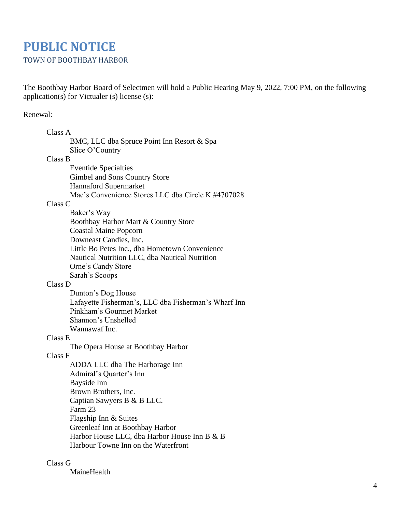# **PUBLIC NOTICE** TOWN OF BOOTHBAY HARBOR

The Boothbay Harbor Board of Selectmen will hold a Public Hearing May 9, 2022, 7:00 PM, on the following application(s) for Victualer (s) license (s):

## Renewal:

| Class A                                              |
|------------------------------------------------------|
| BMC, LLC dba Spruce Point Inn Resort & Spa           |
| Slice O'Country                                      |
| Class B                                              |
| <b>Eventide Specialties</b>                          |
| Gimbel and Sons Country Store                        |
| <b>Hannaford Supermarket</b>                         |
| Mac's Convenience Stores LLC dba Circle K #4707028   |
| Class <sub>C</sub>                                   |
| Baker's Way                                          |
| Boothbay Harbor Mart & Country Store                 |
| <b>Coastal Maine Popcorn</b>                         |
| Downeast Candies, Inc.                               |
| Little Bo Petes Inc., dba Hometown Convenience       |
| Nautical Nutrition LLC, dba Nautical Nutrition       |
| Orne's Candy Store                                   |
| Sarah's Scoops                                       |
| Class D                                              |
| Dunton's Dog House                                   |
| Lafayette Fisherman's, LLC dba Fisherman's Wharf Inn |
| Pinkham's Gourmet Market                             |
| Shannon's Unshelled                                  |
| Wannawaf Inc.                                        |
| Class E                                              |
| The Opera House at Boothbay Harbor                   |
| Class F                                              |
| ADDA LLC dba The Harborage Inn                       |
| Admiral's Quarter's Inn                              |
| Bayside Inn                                          |
| Brown Brothers, Inc.                                 |
| Captian Sawyers B & B LLC.                           |
| Farm 23                                              |
| Flagship Inn & Suites                                |
| Greenleaf Inn at Boothbay Harbor                     |
| Harbor House LLC, dba Harbor House Inn B & B         |
| Harbour Towne Inn on the Waterfront                  |
|                                                      |

## Class G

MaineHealth